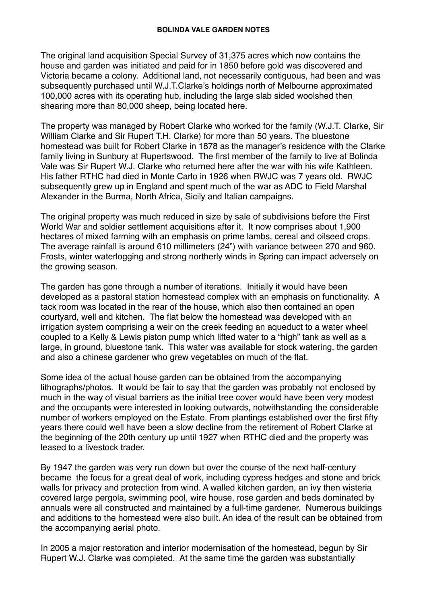The original land acquisition Special Survey of 31,375 acres which now contains the house and garden was initiated and paid for in 1850 before gold was discovered and Victoria became a colony. Additional land, not necessarily contiguous, had been and was subsequently purchased until W.J.T.Clarke's holdings north of Melbourne approximated 100,000 acres with its operating hub, including the large slab sided woolshed then shearing more than 80,000 sheep, being located here.

The property was managed by Robert Clarke who worked for the family (W.J.T. Clarke, Sir William Clarke and Sir Rupert T.H. Clarke) for more than 50 years. The bluestone homestead was built for Robert Clarke in 1878 as the manager's residence with the Clarke family living in Sunbury at Rupertswood. The first member of the family to live at Bolinda Vale was Sir Rupert W.J. Clarke who returned here after the war with his wife Kathleen. His father RTHC had died in Monte Carlo in 1926 when RWJC was 7 years old. RWJC subsequently grew up in England and spent much of the war as ADC to Field Marshal Alexander in the Burma, North Africa, Sicily and Italian campaigns.

The original property was much reduced in size by sale of subdivisions before the First World War and soldier settlement acquisitions after it. It now comprises about 1,900 hectares of mixed farming with an emphasis on prime lambs, cereal and oilseed crops. The average rainfall is around 610 millimeters (24") with variance between 270 and 960. Frosts, winter waterlogging and strong northerly winds in Spring can impact adversely on the growing season.

The garden has gone through a number of iterations. Initially it would have been developed as a pastoral station homestead complex with an emphasis on functionality. A tack room was located in the rear of the house, which also then contained an open courtyard, well and kitchen. The flat below the homestead was developed with an irrigation system comprising a weir on the creek feeding an aqueduct to a water wheel coupled to a Kelly & Lewis piston pump which lifted water to a "high" tank as well as a large, in ground, bluestone tank. This water was available for stock watering, the garden and also a chinese gardener who grew vegetables on much of the flat.

Some idea of the actual house garden can be obtained from the accompanying lithographs/photos. It would be fair to say that the garden was probably not enclosed by much in the way of visual barriers as the initial tree cover would have been very modest and the occupants were interested in looking outwards, notwithstanding the considerable number of workers employed on the Estate. From plantings established over the first fifty years there could well have been a slow decline from the retirement of Robert Clarke at the beginning of the 20th century up until 1927 when RTHC died and the property was leased to a livestock trader.

By 1947 the garden was very run down but over the course of the next half-century became the focus for a great deal of work, including cypress hedges and stone and brick walls for privacy and protection from wind. A walled kitchen garden, an ivy then wisteria covered large pergola, swimming pool, wire house, rose garden and beds dominated by annuals were all constructed and maintained by a full-time gardener. Numerous buildings and additions to the homestead were also built. An idea of the result can be obtained from the accompanying aerial photo.

In 2005 a major restoration and interior modernisation of the homestead, begun by Sir Rupert W.J. Clarke was completed. At the same time the garden was substantially